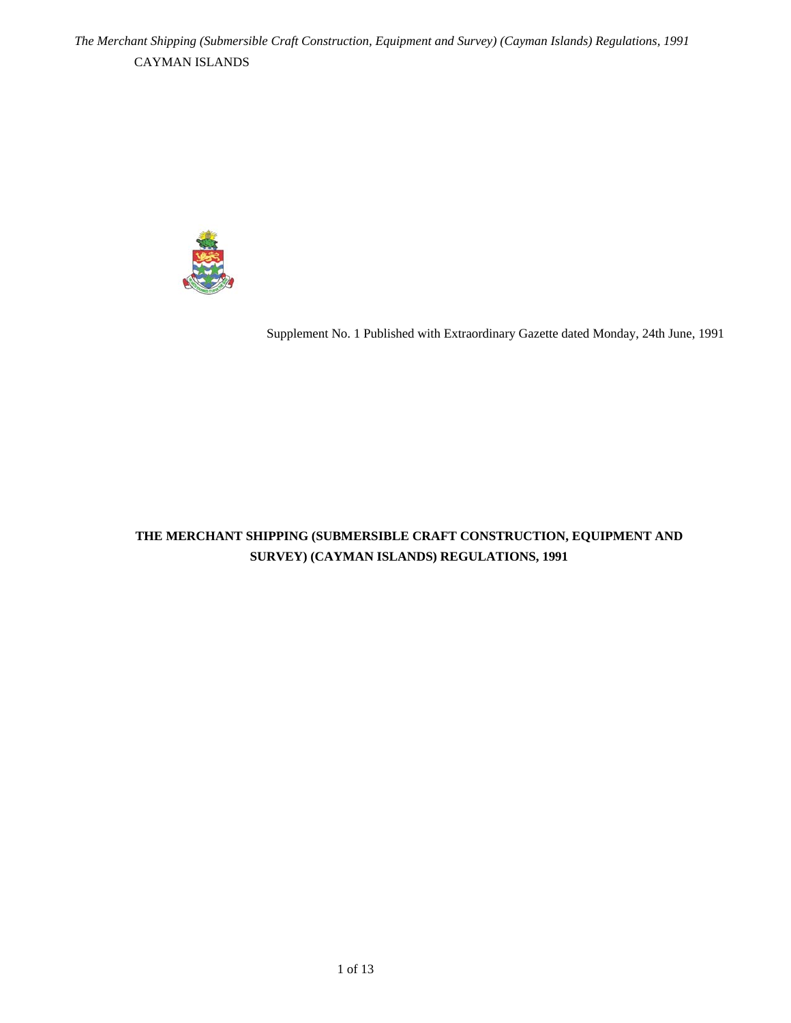

Supplement No. 1 Published with Extraordinary Gazette dated Monday, 24th June, 1991

# **THE MERCHANT SHIPPING (SUBMERSIBLE CRAFT CONSTRUCTION, EQUIPMENT AND SURVEY) (CAYMAN ISLANDS) REGULATIONS, 1991**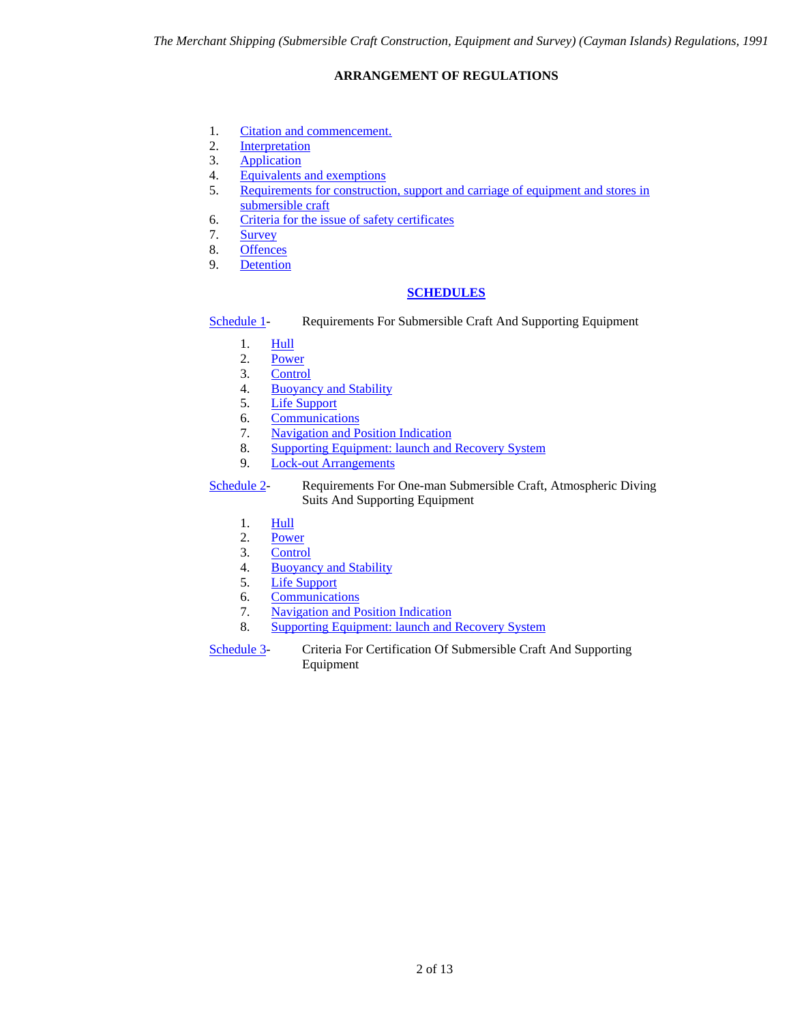# **ARRANGEMENT OF REGULATIONS**

- <span id="page-1-0"></span>1. [Citation and commencement.](#page-2-0)
- 2. [Interpretation](#page-2-1)
- 3. [Application](#page-3-0)
- 4. [Equivalents and exemptions](#page-3-1)
- 5. [Requirements for construction, support and carriage of equipment and stores in](#page-3-2)  [submersible craft](#page-3-2)
- 6. [Criteria for the issue of safety certificates](#page-3-3)
- 7. [Survey](#page-3-4)
- 8. [Offences](#page-4-0)
- 9. [Detention](#page-4-1)

# **[SCHEDULES](#page-5-0)**

```
Schedule 1-<br>Requirements For Submersible Craft And Supporting Equipment
```
- 1. [Hull](#page-5-1)
- 2. [Power](#page-5-2)
- 3. [Control](#page-6-0)
- 4. [Buoyancy and Stability](#page-6-1)
- 5. [Life Support](#page-6-2)
- 6. [Communications](#page-7-0)
- 7. [Navigation and Position Indication](#page-7-1)
- 8. [Supporting Equipment: launch and Recovery System](#page-8-0)
- 9. [Lock-out Arrangements](#page-8-1)

[Schedule 2](#page-9-0)- Requirements For One-man Submersible Craft, Atmospheric Diving Suits And Supporting Equipment

- 1. [Hull](#page-9-1)
- 2. [Power](#page-9-2)
- 3. [Control](#page-10-0)
- 4. [Buoyancy and Stability](#page-10-1)
- 5. [Life Support](#page-10-2)
- 6. [Communications](#page-10-3)
- 7. [Navigation and Position Indication](#page-10-4)
- 8. [Supporting Equipment: launch and Recovery System](#page-11-0)

[Schedule 3](#page-12-0)- Criteria For Certification Of Submersible Craft And Supporting Equipment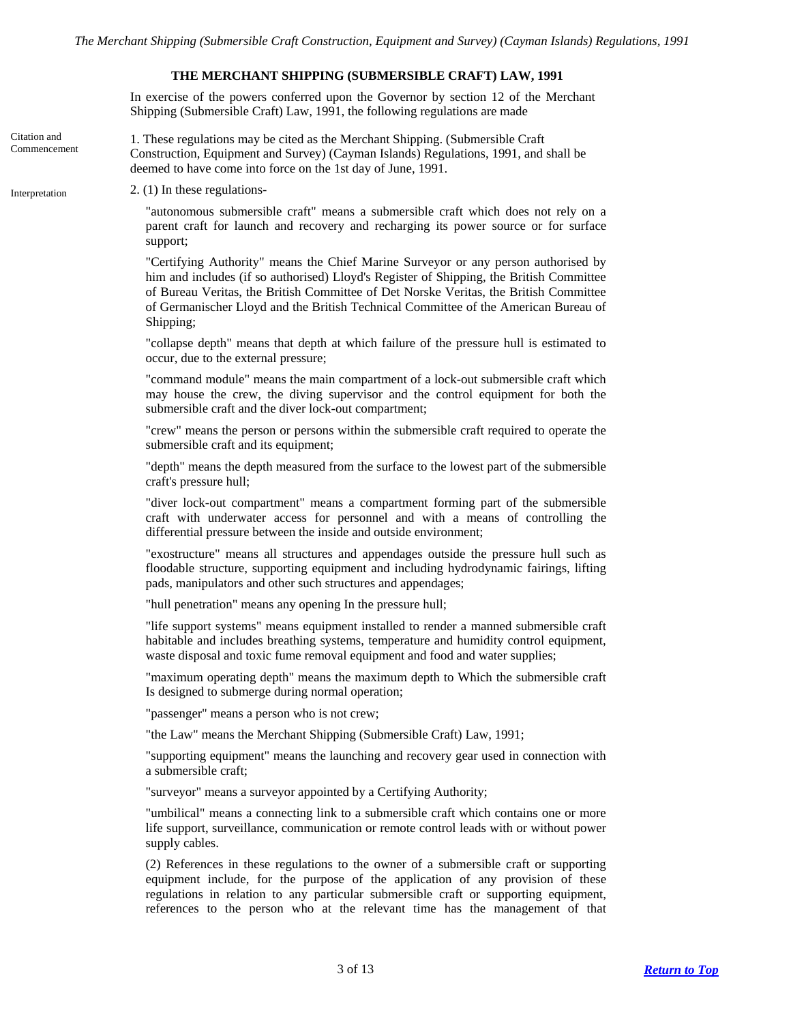#### **THE MERCHANT SHIPPING (SUBMERSIBLE CRAFT) LAW, 1991**

In exercise of the powers conferred upon the Governor by section 12 of the Merchant Shipping (Submersible Craft) Law, 1991, the following regulations are made

<span id="page-2-0"></span>Citation and Commencement 1. These regulations may be cited as the Merchant Shipping. (Submersible Craft Construction, Equipment and Survey) (Cayman Islands) Regulations, 1991, and shall be deemed to have come into force on the 1st day of June, 1991.

<span id="page-2-1"></span>Interpretation  $2. (1)$  In these regulations-

"autonomous submersible craft" means a submersible craft which does not rely on a parent craft for launch and recovery and recharging its power source or for surface support;

"Certifying Authority" means the Chief Marine Surveyor or any person authorised by him and includes (if so authorised) Lloyd's Register of Shipping, the British Committee of Bureau Veritas, the British Committee of Det Norske Veritas, the British Committee of Germanischer Lloyd and the British Technical Committee of the American Bureau of Shipping;

"collapse depth" means that depth at which failure of the pressure hull is estimated to occur, due to the external pressure;

"command module" means the main compartment of a lock-out submersible craft which may house the crew, the diving supervisor and the control equipment for both the submersible craft and the diver lock-out compartment;

"crew" means the person or persons within the submersible craft required to operate the submersible craft and its equipment;

"depth" means the depth measured from the surface to the lowest part of the submersible craft's pressure hull;

"diver lock-out compartment" means a compartment forming part of the submersible craft with underwater access for personnel and with a means of controlling the differential pressure between the inside and outside environment;

"exostructure" means all structures and appendages outside the pressure hull such as floodable structure, supporting equipment and including hydrodynamic fairings, lifting pads, manipulators and other such structures and appendages;

"hull penetration" means any opening In the pressure hull;

"life support systems" means equipment installed to render a manned submersible craft habitable and includes breathing systems, temperature and humidity control equipment, waste disposal and toxic fume removal equipment and food and water supplies;

"maximum operating depth" means the maximum depth to Which the submersible craft Is designed to submerge during normal operation;

"passenger" means a person who is not crew;

"the Law" means the Merchant Shipping (Submersible Craft) Law, 1991;

"supporting equipment" means the launching and recovery gear used in connection with a submersible craft;

"surveyor" means a surveyor appointed by a Certifying Authority;

"umbilical" means a connecting link to a submersible craft which contains one or more life support, surveillance, communication or remote control leads with or without power supply cables.

(2) References in these regulations to the owner of a submersible craft or supporting equipment include, for the purpose of the application of any provision of these regulations in relation to any particular submersible craft or supporting equipment, references to the person who at the relevant time has the management of that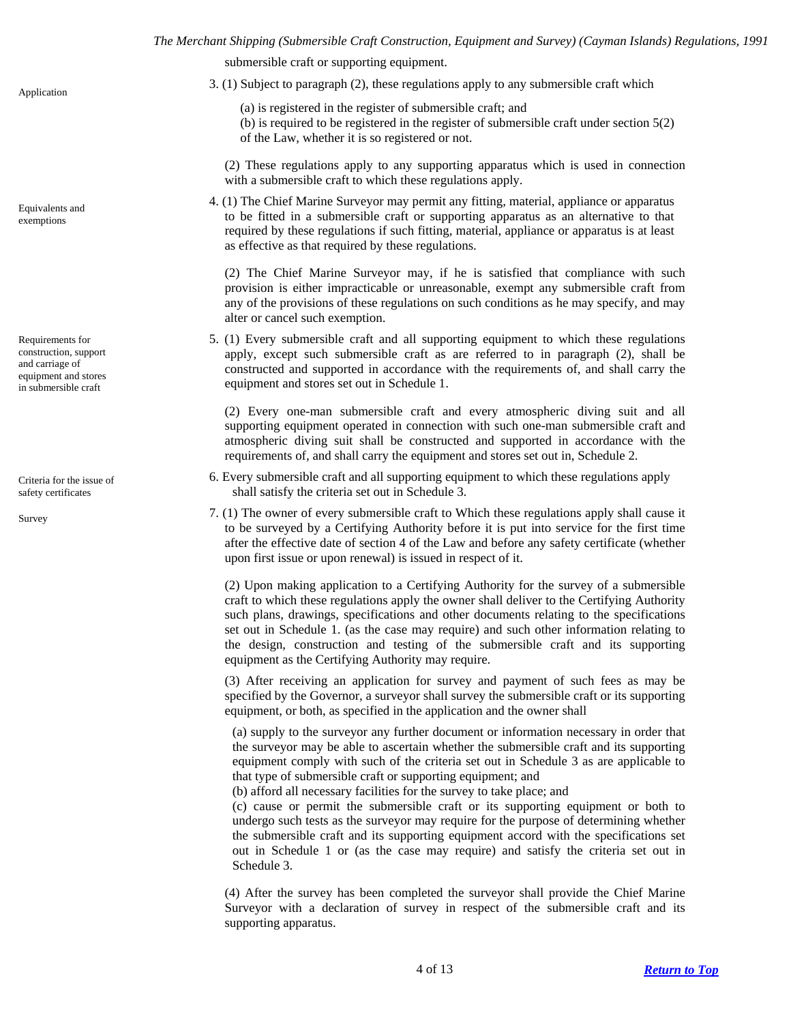<span id="page-3-1"></span>Equivalents and exemptions

<span id="page-3-2"></span>Requirements for construction, support and carriage of equipment and stores in submersible craft

<span id="page-3-3"></span>Criteria for the issue of safety certificates

<span id="page-3-4"></span>Survey

submersible craft or supporting equipment.

- <span id="page-3-0"></span>3. (1) Subject to paragraph (2), these regulations apply to any submersible craft which Application
	- (a) is registered in the register of submersible craft; and (b) is required to be registered in the register of submersible craft under section 5(2) of the Law, whether it is so registered or not.

(2) These regulations apply to any supporting apparatus which is used in connection with a submersible craft to which these regulations apply.

4. (1) The Chief Marine Surveyor may permit any fitting, material, appliance or apparatus to be fitted in a submersible craft or supporting apparatus as an alternative to that required by these regulations if such fitting, material, appliance or apparatus is at least as effective as that required by these regulations.

(2) The Chief Marine Surveyor may, if he is satisfied that compliance with such provision is either impracticable or unreasonable, exempt any submersible craft from any of the provisions of these regulations on such conditions as he may specify, and may alter or cancel such exemption.

5. (1) Every submersible craft and all supporting equipment to which these regulations apply, except such submersible craft as are referred to in paragraph (2), shall be constructed and supported in accordance with the requirements of, and shall carry the equipment and stores set out in Schedule 1.

(2) Every one-man submersible craft and every atmospheric diving suit and all supporting equipment operated in connection with such one-man submersible craft and atmospheric diving suit shall be constructed and supported in accordance with the requirements of, and shall carry the equipment and stores set out in, Schedule 2.

- 6. Every submersible craft and all supporting equipment to which these regulations apply shall satisfy the criteria set out in Schedule 3.
- 7. (1) The owner of every submersible craft to Which these regulations apply shall cause it to be surveyed by a Certifying Authority before it is put into service for the first time after the effective date of section 4 of the Law and before any safety certificate (whether upon first issue or upon renewal) is issued in respect of it.

(2) Upon making application to a Certifying Authority for the survey of a submersible craft to which these regulations apply the owner shall deliver to the Certifying Authority such plans, drawings, specifications and other documents relating to the specifications set out in Schedule 1. (as the case may require) and such other information relating to the design, construction and testing of the submersible craft and its supporting equipment as the Certifying Authority may require.

(3) After receiving an application for survey and payment of such fees as may be specified by the Governor, a surveyor shall survey the submersible craft or its supporting equipment, or both, as specified in the application and the owner shall

(a) supply to the surveyor any further document or information necessary in order that the surveyor may be able to ascertain whether the submersible craft and its supporting equipment comply with such of the criteria set out in Schedule 3 as are applicable to that type of submersible craft or supporting equipment; and

(b) afford all necessary facilities for the survey to take place; and

(c) cause or permit the submersible craft or its supporting equipment or both to undergo such tests as the surveyor may require for the purpose of determining whether the submersible craft and its supporting equipment accord with the specifications set out in Schedule 1 or (as the case may require) and satisfy the criteria set out in Schedule 3.

(4) After the survey has been completed the surveyor shall provide the Chief Marine Surveyor with a declaration of survey in respect of the submersible craft and its supporting apparatus.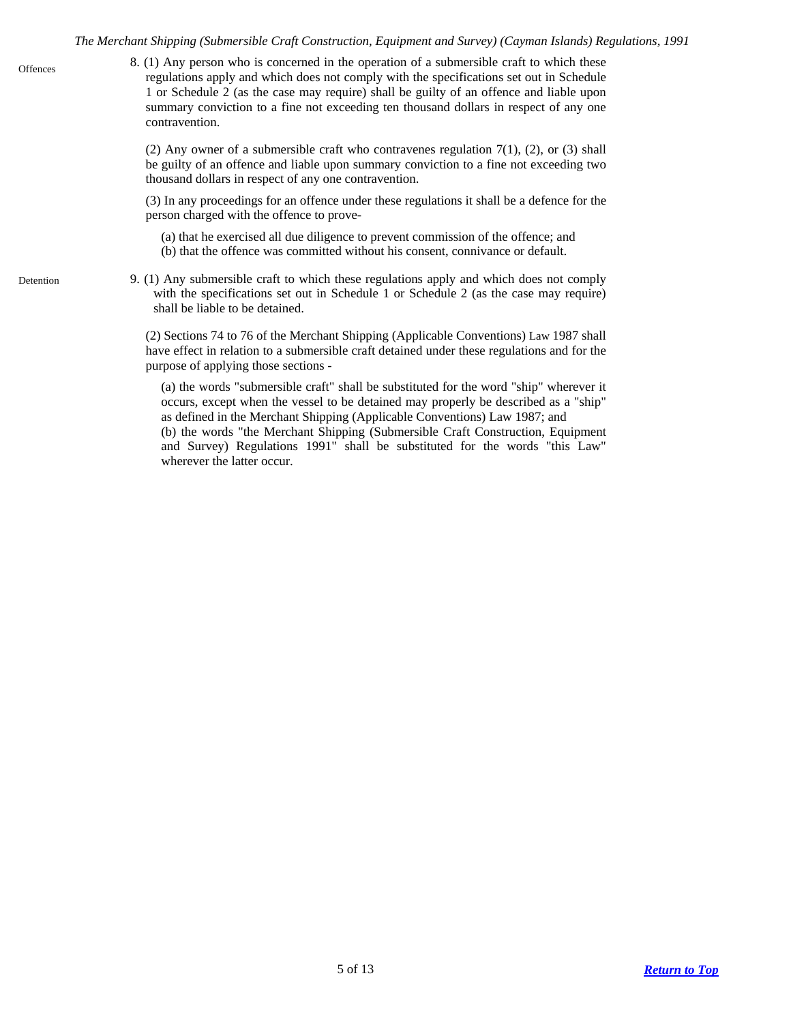8. (1) Any person who is concerned in the operation of a submersible craft to which these regulations apply and which does not comply with the specifications set out in Schedule 1 or Schedule 2 (as the case may require) shall be guilty of an offence and liable upon summary conviction to a fine not exceeding ten thousand dollars in respect of any one contravention.

> (2) Any owner of a submersible craft who contravenes regulation 7(1), (2), or (3) shall be guilty of an offence and liable upon summary conviction to a fine not exceeding two thousand dollars in respect of any one contravention.

> (3) In any proceedings for an offence under these regulations it shall be a defence for the person charged with the offence to prove-

- (a) that he exercised all due diligence to prevent commission of the offence; and (b) that the offence was committed without his consent, connivance or default.
- <span id="page-4-1"></span>Detention 9. (1) Any submersible craft to which these regulations apply and which does not comply with the specifications set out in Schedule 1 or Schedule 2 (as the case may require) shall be liable to be detained.

(2) Sections 74 to 76 of the Merchant Shipping (Applicable Conventions) Law 1987 shall have effect in relation to a submersible craft detained under these regulations and for the purpose of applying those sections -

(a) the words "submersible craft" shall be substituted for the word "ship" wherever it occurs, except when the vessel to be detained may properly be described as a "ship" as defined in the Merchant Shipping (Applicable Conventions) Law 1987; and (b) the words "the Merchant Shipping (Submersible Craft Construction, Equipment and Survey) Regulations 1991" shall be substituted for the words "this Law" wherever the latter occur.

<span id="page-4-0"></span>**Offences**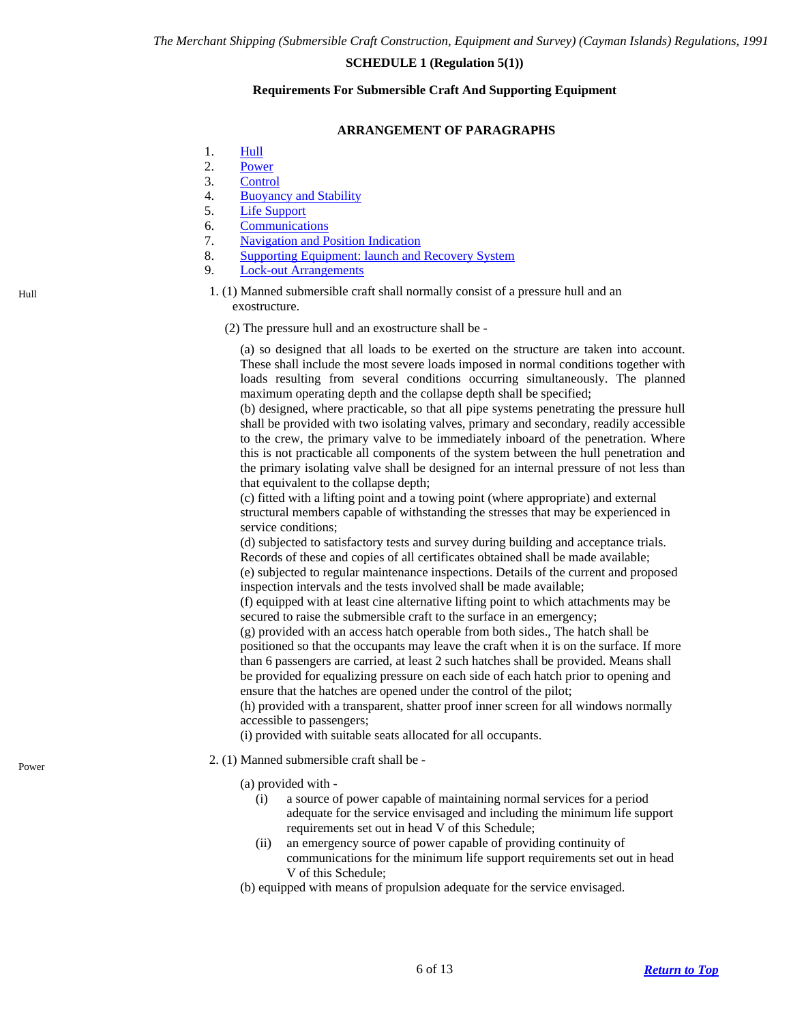# **SCHEDULE 1 (Regulation 5(1))**

#### **Requirements For Submersible Craft And Supporting Equipment**

#### **ARRANGEMENT OF PARAGRAPHS**

- <span id="page-5-0"></span>1. [Hull](#page-5-1)
- 2. [Power](#page-5-2)
- 3. [Control](#page-6-0)
- 4. [Buoyancy and Stability](#page-6-1)
- 5. [Life Support](#page-6-2)
- 6. [Communications](#page-7-0)
- 7. [Navigation and Position Indication](#page-7-1)
- 8. [Supporting Equipment: launch and Recovery System](#page-8-0)
- 9. [Lock-out Arrangements](#page-8-1)
- <span id="page-5-1"></span>Hull 1. (1) Manned submersible craft shall normally consist of a pressure hull and an exostructure.
	- (2) The pressure hull and an exostructure shall be -

(a) so designed that all loads to be exerted on the structure are taken into account. These shall include the most severe loads imposed in normal conditions together with loads resulting from several conditions occurring simultaneously. The planned maximum operating depth and the collapse depth shall be specified;

(b) designed, where practicable, so that all pipe systems penetrating the pressure hull shall be provided with two isolating valves, primary and secondary, readily accessible to the crew, the primary valve to be immediately inboard of the penetration. Where this is not practicable all components of the system between the hull penetration and the primary isolating valve shall be designed for an internal pressure of not less than that equivalent to the collapse depth;

(c) fitted with a lifting point and a towing point (where appropriate) and external structural members capable of withstanding the stresses that may be experienced in service conditions;

(d) subjected to satisfactory tests and survey during building and acceptance trials. Records of these and copies of all certificates obtained shall be made available; (e) subjected to regular maintenance inspections. Details of the current and proposed inspection intervals and the tests involved shall be made available;

(f) equipped with at least cine alternative lifting point to which attachments may be secured to raise the submersible craft to the surface in an emergency;

(g) provided with an access hatch operable from both sides., The hatch shall be positioned so that the occupants may leave the craft when it is on the surface. If more than 6 passengers are carried, at least 2 such hatches shall be provided. Means shall be provided for equalizing pressure on each side of each hatch prior to opening and ensure that the hatches are opened under the control of the pilot;

(h) provided with a transparent, shatter proof inner screen for all windows normally accessible to passengers;

(i) provided with suitable seats allocated for all occupants.

<span id="page-5-2"></span>2. (1) Manned submersible craft shall be - Power

(a) provided with -

- (i) a source of power capable of maintaining normal services for a period adequate for the service envisaged and including the minimum life support requirements set out in head V of this Schedule;
- (ii) an emergency source of power capable of providing continuity of communications for the minimum life support requirements set out in head V of this Schedule;
- (b) equipped with means of propulsion adequate for the service envisaged.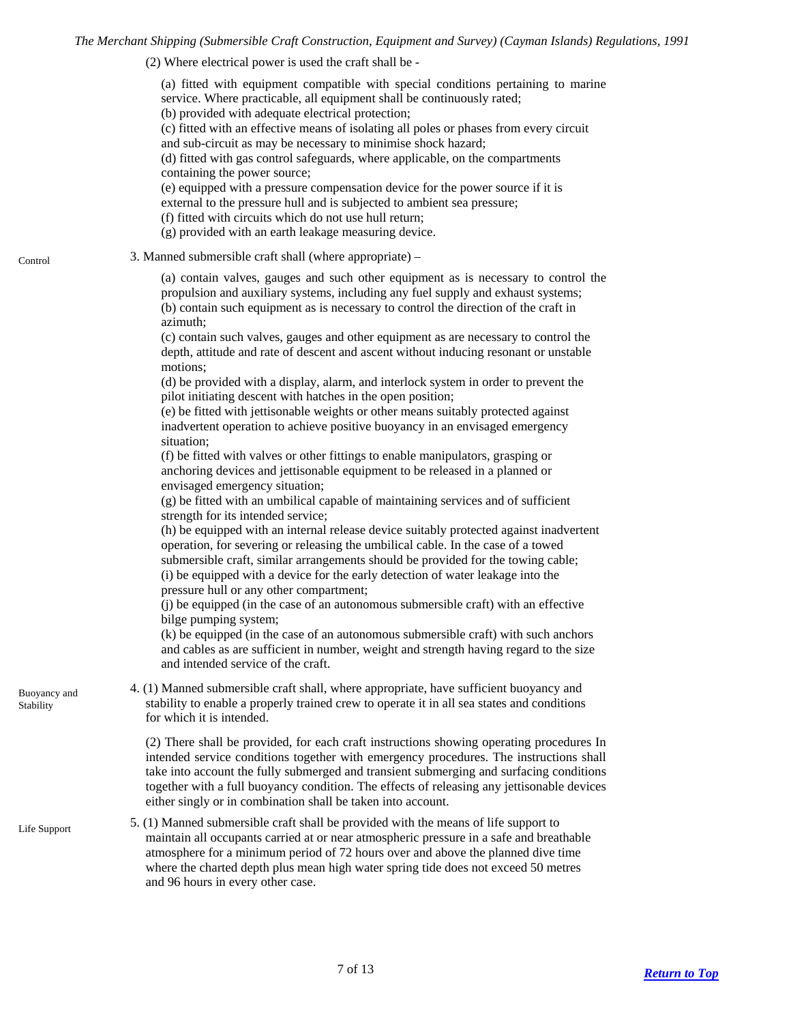(2) Where electrical power is used the craft shall be -

(a) fitted with equipment compatible with special conditions pertaining to marine service. Where practicable, all equipment shall be continuously rated;

(b) provided with adequate electrical protection;

(c) fitted with an effective means of isolating all poles or phases from every circuit and sub-circuit as may be necessary to minimise shock hazard;

(d) fitted with gas control safeguards, where applicable, on the compartments containing the power source;

(e) equipped with a pressure compensation device for the power source if it is external to the pressure hull and is subjected to ambient sea pressure;

- (f) fitted with circuits which do not use hull return;
- (g) provided with an earth leakage measuring device.
- <span id="page-6-0"></span>3. Manned submersible craft shall (where appropriate) – Control

(a) contain valves, gauges and such other equipment as is necessary to control the propulsion and auxiliary systems, including any fuel supply and exhaust systems; (b) contain such equipment as is necessary to control the direction of the craft in azimuth;

(c) contain such valves, gauges and other equipment as are necessary to control the depth, attitude and rate of descent and ascent without inducing resonant or unstable motions;

(d) be provided with a display, alarm, and interlock system in order to prevent the pilot initiating descent with hatches in the open position;

(e) be fitted with jettisonable weights or other means suitably protected against inadvertent operation to achieve positive buoyancy in an envisaged emergency situation;

(f) be fitted with valves or other fittings to enable manipulators, grasping or anchoring devices and jettisonable equipment to be released in a planned or envisaged emergency situation;

(g) be fitted with an umbilical capable of maintaining services and of sufficient strength for its intended service;

(h) be equipped with an internal release device suitably protected against inadvertent operation, for severing or releasing the umbilical cable. In the case of a towed submersible craft, similar arrangements should be provided for the towing cable; (i) be equipped with a device for the early detection of water leakage into the pressure hull or any other compartment;

(j) be equipped (in the case of an autonomous submersible craft) with an effective bilge pumping system;

(k) be equipped (in the case of an autonomous submersible craft) with such anchors and cables as are sufficient in number, weight and strength having regard to the size and intended service of the craft.

4. (1) Manned submersible craft shall, where appropriate, have sufficient buoyancy and stability to enable a properly trained crew to operate it in all sea states and conditions for which it is intended.

(2) There shall be provided, for each craft instructions showing operating procedures In intended service conditions together with emergency procedures. The instructions shall take into account the fully submerged and transient submerging and surfacing conditions together with a full buoyancy condition. The effects of releasing any jettisonable devices either singly or in combination shall be taken into account.

<span id="page-6-2"></span>5. (1) Manned submersible craft shall be provided with the means of life support to maintain all occupants carried at or near atmospheric pressure in a safe and breathable atmosphere for a minimum period of 72 hours over and above the planned dive time where the charted depth plus mean high water spring tide does not exceed 50 metres and 96 hours in every other case. Life Support

<span id="page-6-1"></span>Buoyancy and **Stability**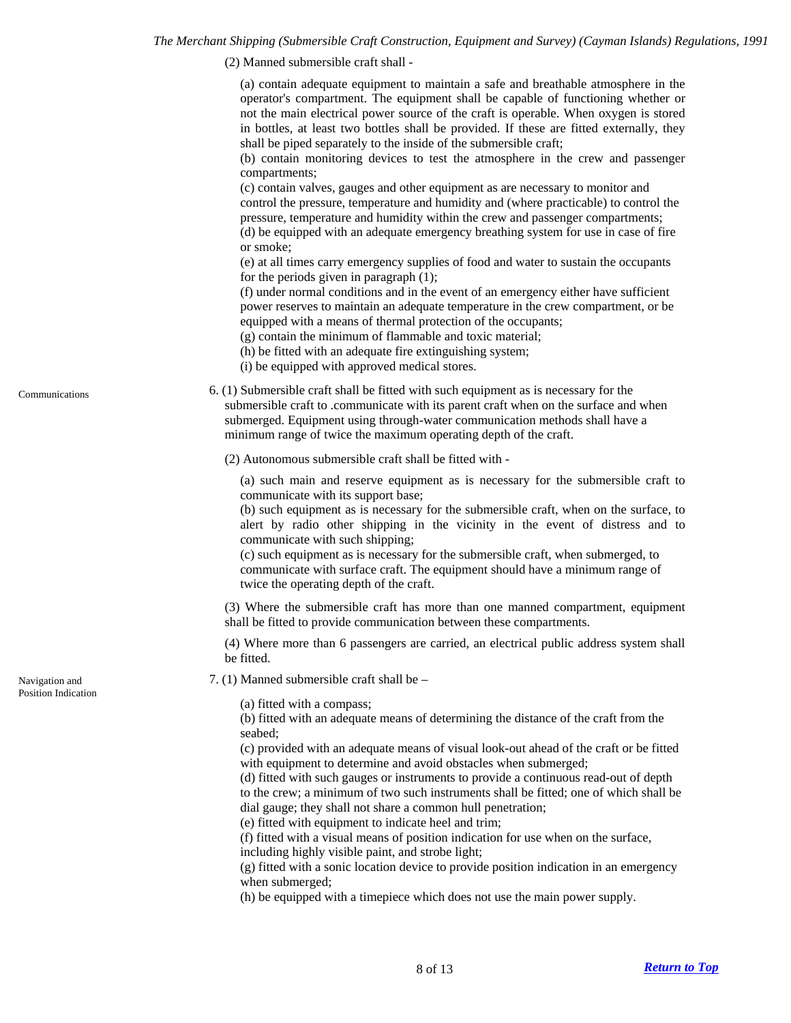(2) Manned submersible craft shall -

(a) contain adequate equipment to maintain a safe and breathable atmosphere in the operator's compartment. The equipment shall be capable of functioning whether or not the main electrical power source of the craft is operable. When oxygen is stored in bottles, at least two bottles shall be provided. If these are fitted externally, they shall be piped separately to the inside of the submersible craft;

(b) contain monitoring devices to test the atmosphere in the crew and passenger compartments;

(c) contain valves, gauges and other equipment as are necessary to monitor and control the pressure, temperature and humidity and (where practicable) to control the pressure, temperature and humidity within the crew and passenger compartments; (d) be equipped with an adequate emergency breathing system for use in case of fire or smoke;

(e) at all times carry emergency supplies of food and water to sustain the occupants for the periods given in paragraph (1);

(f) under normal conditions and in the event of an emergency either have sufficient power reserves to maintain an adequate temperature in the crew compartment, or be equipped with a means of thermal protection of the occupants;

- (g) contain the minimum of flammable and toxic material;
- (h) be fitted with an adequate fire extinguishing system;
- (i) be equipped with approved medical stores.

<span id="page-7-0"></span>Communications

6. (1) Submersible craft shall be fitted with such equipment as is necessary for the submersible craft to .communicate with its parent craft when on the surface and when submerged. Equipment using through-water communication methods shall have a minimum range of twice the maximum operating depth of the craft.

(2) Autonomous submersible craft shall be fitted with -

(a) such main and reserve equipment as is necessary for the submersible craft to communicate with its support base;

(b) such equipment as is necessary for the submersible craft, when on the surface, to alert by radio other shipping in the vicinity in the event of distress and to communicate with such shipping;

(c) such equipment as is necessary for the submersible craft, when submerged, to communicate with surface craft. The equipment should have a minimum range of twice the operating depth of the craft.

(3) Where the submersible craft has more than one manned compartment, equipment shall be fitted to provide communication between these compartments.

(4) Where more than 6 passengers are carried, an electrical public address system shall be fitted.

7. (1) Manned submersible craft shall be –

(a) fitted with a compass;

(b) fitted with an adequate means of determining the distance of the craft from the seabed;

(c) provided with an adequate means of visual look-out ahead of the craft or be fitted with equipment to determine and avoid obstacles when submerged;

(d) fitted with such gauges or instruments to provide a continuous read-out of depth to the crew; a minimum of two such instruments shall be fitted; one of which shall be dial gauge; they shall not share a common hull penetration;

(e) fitted with equipment to indicate heel and trim;

(f) fitted with a visual means of position indication for use when on the surface,

including highly visible paint, and strobe light;

(g) fitted with a sonic location device to provide position indication in an emergency when submerged;

(h) be equipped with a timepiece which does not use the main power supply.

<span id="page-7-1"></span>Navigation and Position Indication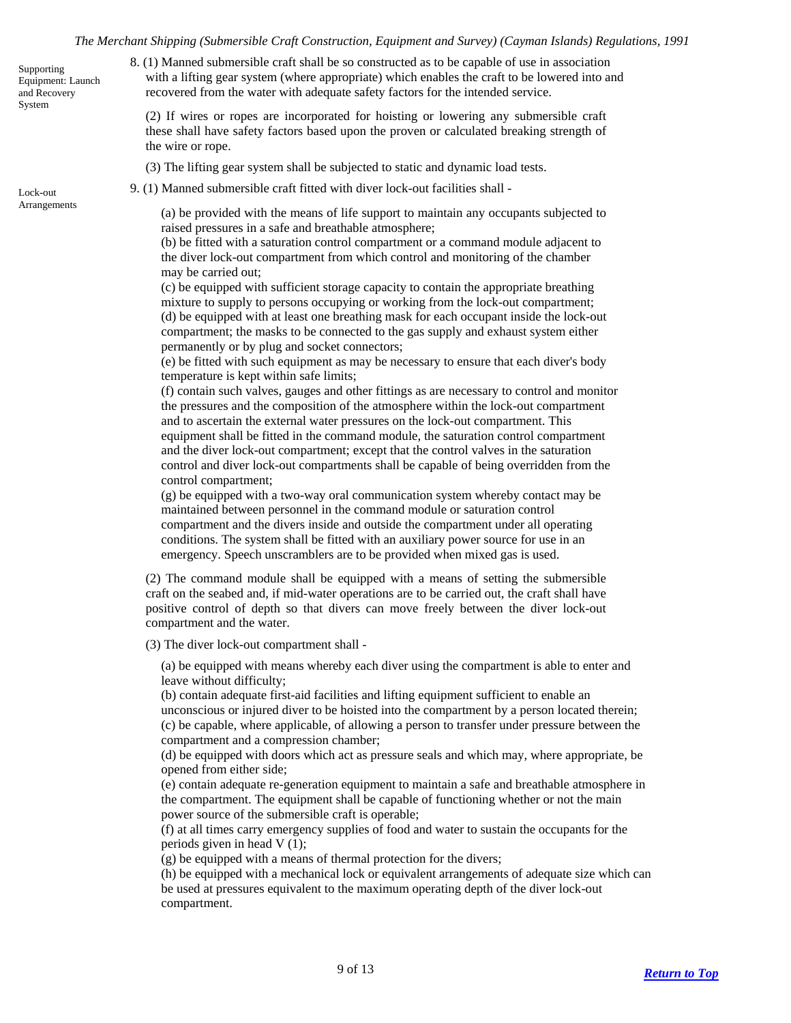<span id="page-8-0"></span>Supporting Equipment: Launch and Recovery System

8. (1) Manned submersible craft shall be so constructed as to be capable of use in association with a lifting gear system (where appropriate) which enables the craft to be lowered into and recovered from the water with adequate safety factors for the intended service.

(2) If wires or ropes are incorporated for hoisting or lowering any submersible craft these shall have safety factors based upon the proven or calculated breaking strength of the wire or rope.

- (3) The lifting gear system shall be subjected to static and dynamic load tests.
- <span id="page-8-1"></span>9. (1) Manned submersible craft fitted with diver lock-out facilities shall - Lock-out

Arrangements (a) be provided with the means of life support to maintain any occupants subjected to raised pressures in a safe and breathable atmosphere;

> (b) be fitted with a saturation control compartment or a command module adjacent to the diver lock-out compartment from which control and monitoring of the chamber may be carried out;

> (c) be equipped with sufficient storage capacity to contain the appropriate breathing mixture to supply to persons occupying or working from the lock-out compartment; (d) be equipped with at least one breathing mask for each occupant inside the lock-out compartment; the masks to be connected to the gas supply and exhaust system either permanently or by plug and socket connectors;

> (e) be fitted with such equipment as may be necessary to ensure that each diver's body temperature is kept within safe limits;

(f) contain such valves, gauges and other fittings as are necessary to control and monitor the pressures and the composition of the atmosphere within the lock-out compartment and to ascertain the external water pressures on the lock-out compartment. This equipment shall be fitted in the command module, the saturation control compartment and the diver lock-out compartment; except that the control valves in the saturation control and diver lock-out compartments shall be capable of being overridden from the control compartment;

(g) be equipped with a two-way oral communication system whereby contact may be maintained between personnel in the command module or saturation control compartment and the divers inside and outside the compartment under all operating conditions. The system shall be fitted with an auxiliary power source for use in an emergency. Speech unscramblers are to be provided when mixed gas is used.

(2) The command module shall be equipped with a means of setting the submersible craft on the seabed and, if mid-water operations are to be carried out, the craft shall have positive control of depth so that divers can move freely between the diver lock-out compartment and the water.

(3) The diver lock-out compartment shall -

(a) be equipped with means whereby each diver using the compartment is able to enter and leave without difficulty;

(b) contain adequate first-aid facilities and lifting equipment sufficient to enable an unconscious or injured diver to be hoisted into the compartment by a person located therein; (c) be capable, where applicable, of allowing a person to transfer under pressure between the compartment and a compression chamber;

(d) be equipped with doors which act as pressure seals and which may, where appropriate, be opened from either side;

(e) contain adequate re-generation equipment to maintain a safe and breathable atmosphere in the compartment. The equipment shall be capable of functioning whether or not the main power source of the submersible craft is operable;

(f) at all times carry emergency supplies of food and water to sustain the occupants for the periods given in head V (1);

(g) be equipped with a means of thermal protection for the divers;

(h) be equipped with a mechanical lock or equivalent arrangements of adequate size which can be used at pressures equivalent to the maximum operating depth of the diver lock-out compartment.

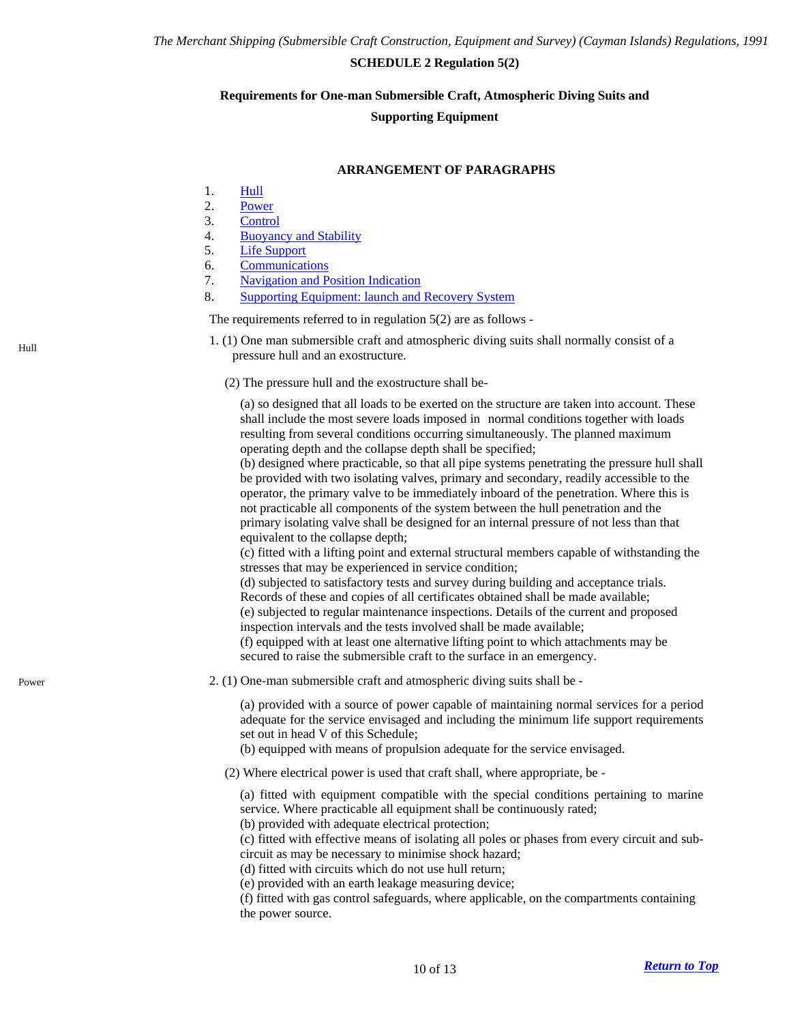## **SCHEDULE 2 Regulation 5(2)**

#### <span id="page-9-0"></span>**Requirements for One-man Submersible Craft, Atmospheric Diving Suits and**

#### **Supporting Equipment**

### **ARRANGEMENT OF PARAGRAPHS**

- 1. [Hull](#page-9-1)
- 2. [Power](#page-9-2)
- 3. [Control](#page-10-0)
- 4. [Buoyancy and Stability](#page-10-1)
- 5. [Life Support](#page-10-2)
- 6. [Communications](#page-10-3)
- 7. [Navigation and Position Indication](#page-10-4)
- 8. [Supporting Equipment: launch and Recovery System](#page-11-0)

The requirements referred to in regulation 5(2) are as follows -

- <span id="page-9-1"></span>1. (1) One man submersible craft and atmospheric diving suits shall normally consist of a Full Figure 1. (1) One man submicrative craft and an exostructure.
	- (2) The pressure hull and the exostructure shall be-

(a) so designed that all loads to be exerted on the structure are taken into account. These shall include the most severe loads imposed in normal conditions together with loads resulting from several conditions occurring simultaneously. The planned maximum operating depth and the collapse depth shall be specified;

(b) designed where practicable, so that all pipe systems penetrating the pressure hull shall be provided with two isolating valves, primary and secondary, readily accessible to the operator, the primary valve to be immediately inboard of the penetration. Where this is not practicable all components of the system between the hull penetration and the primary isolating valve shall be designed for an internal pressure of not less than that equivalent to the collapse depth;

(c) fitted with a lifting point and external structural members capable of withstanding the stresses that may be experienced in service condition;

(d) subjected to satisfactory tests and survey during building and acceptance trials. Records of these and copies of all certificates obtained shall be made available; (e) subjected to regular maintenance inspections. Details of the current and proposed inspection intervals and the tests involved shall be made available; (f) equipped with at least one alternative lifting point to which attachments may be secured to raise the submersible craft to the surface in an emergency.

<span id="page-9-2"></span>Power 2. (1) One-man submersible craft and atmospheric diving suits shall be -

(a) provided with a source of power capable of maintaining normal services for a period adequate for the service envisaged and including the minimum life support requirements set out in head V of this Schedule;

- (b) equipped with means of propulsion adequate for the service envisaged.
- (2) Where electrical power is used that craft shall, where appropriate, be -

(a) fitted with equipment compatible with the special conditions pertaining to marine service. Where practicable all equipment shall be continuously rated;

(b) provided with adequate electrical protection;

(c) fitted with effective means of isolating all poles or phases from every circuit and subcircuit as may be necessary to minimise shock hazard;

(d) fitted with circuits which do not use hull return;

(e) provided with an earth leakage measuring device;

(f) fitted with gas control safeguards, where applicable, on the compartments containing the power source.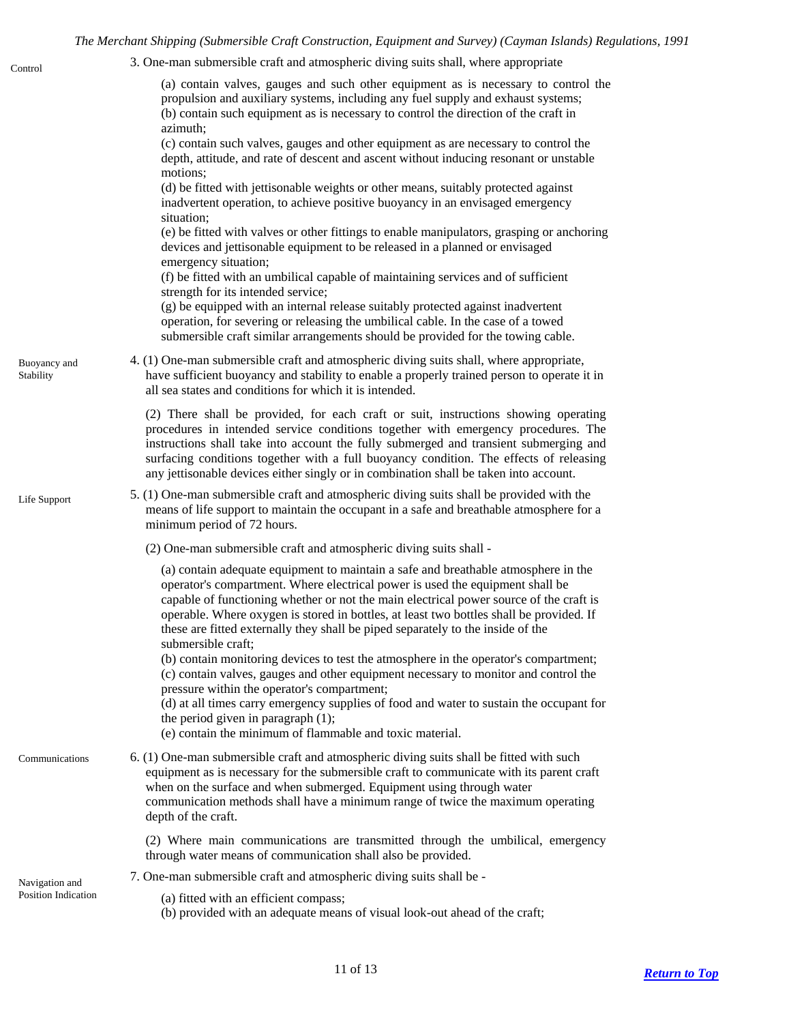<span id="page-10-2"></span><span id="page-10-1"></span><span id="page-10-0"></span>

| Control                                      | 3. One-man submersible craft and atmospheric diving suits shall, where appropriate                                                                                                                                                                                                                                                                                                                                                                                                                                                                                                                                                                                                   |
|----------------------------------------------|--------------------------------------------------------------------------------------------------------------------------------------------------------------------------------------------------------------------------------------------------------------------------------------------------------------------------------------------------------------------------------------------------------------------------------------------------------------------------------------------------------------------------------------------------------------------------------------------------------------------------------------------------------------------------------------|
|                                              | (a) contain valves, gauges and such other equipment as is necessary to control the<br>propulsion and auxiliary systems, including any fuel supply and exhaust systems;<br>(b) contain such equipment as is necessary to control the direction of the craft in<br>azimuth;<br>(c) contain such valves, gauges and other equipment as are necessary to control the<br>depth, attitude, and rate of descent and ascent without inducing resonant or unstable<br>motions;<br>(d) be fitted with jettisonable weights or other means, suitably protected against                                                                                                                          |
|                                              | inadvertent operation, to achieve positive buoyancy in an envisaged emergency<br>situation;<br>(e) be fitted with valves or other fittings to enable manipulators, grasping or anchoring<br>devices and jettisonable equipment to be released in a planned or envisaged<br>emergency situation;<br>(f) be fitted with an umbilical capable of maintaining services and of sufficient<br>strength for its intended service;<br>(g) be equipped with an internal release suitably protected against inadvertent<br>operation, for severing or releasing the umbilical cable. In the case of a towed<br>submersible craft similar arrangements should be provided for the towing cable. |
| Buoyancy and<br>Stability                    | 4. (1) One-man submersible craft and atmospheric diving suits shall, where appropriate,<br>have sufficient buoyancy and stability to enable a properly trained person to operate it in<br>all sea states and conditions for which it is intended.                                                                                                                                                                                                                                                                                                                                                                                                                                    |
|                                              | (2) There shall be provided, for each craft or suit, instructions showing operating<br>procedures in intended service conditions together with emergency procedures. The<br>instructions shall take into account the fully submerged and transient submerging and<br>surfacing conditions together with a full buoyancy condition. The effects of releasing<br>any jettisonable devices either singly or in combination shall be taken into account.                                                                                                                                                                                                                                 |
| Life Support                                 | 5. (1) One-man submersible craft and atmospheric diving suits shall be provided with the<br>means of life support to maintain the occupant in a safe and breathable atmosphere for a<br>minimum period of 72 hours.                                                                                                                                                                                                                                                                                                                                                                                                                                                                  |
|                                              | (2) One-man submersible craft and atmospheric diving suits shall -                                                                                                                                                                                                                                                                                                                                                                                                                                                                                                                                                                                                                   |
|                                              | (a) contain adequate equipment to maintain a safe and breathable atmosphere in the<br>operator's compartment. Where electrical power is used the equipment shall be<br>capable of functioning whether or not the main electrical power source of the craft is<br>operable. Where oxygen is stored in bottles, at least two bottles shall be provided. If<br>these are fitted externally they shall be piped separately to the inside of the<br>submersible craft;                                                                                                                                                                                                                    |
|                                              | (b) contain monitoring devices to test the atmosphere in the operator's compartment;<br>(c) contain valves, gauges and other equipment necessary to monitor and control the<br>pressure within the operator's compartment;<br>(d) at all times carry emergency supplies of food and water to sustain the occupant for<br>the period given in paragraph $(1)$ ;<br>(e) contain the minimum of flammable and toxic material.                                                                                                                                                                                                                                                           |
| Communications                               | 6. (1) One-man submersible craft and atmospheric diving suits shall be fitted with such<br>equipment as is necessary for the submersible craft to communicate with its parent craft<br>when on the surface and when submerged. Equipment using through water<br>communication methods shall have a minimum range of twice the maximum operating<br>depth of the craft.                                                                                                                                                                                                                                                                                                               |
|                                              | (2) Where main communications are transmitted through the umbilical, emergency<br>through water means of communication shall also be provided.                                                                                                                                                                                                                                                                                                                                                                                                                                                                                                                                       |
| Navigation and<br><b>Position Indication</b> | 7. One-man submersible craft and atmospheric diving suits shall be -                                                                                                                                                                                                                                                                                                                                                                                                                                                                                                                                                                                                                 |
|                                              | (a) fitted with an efficient compass;<br>(b) provided with an adequate means of visual look-out ahead of the craft;                                                                                                                                                                                                                                                                                                                                                                                                                                                                                                                                                                  |

<span id="page-10-4"></span><span id="page-10-3"></span>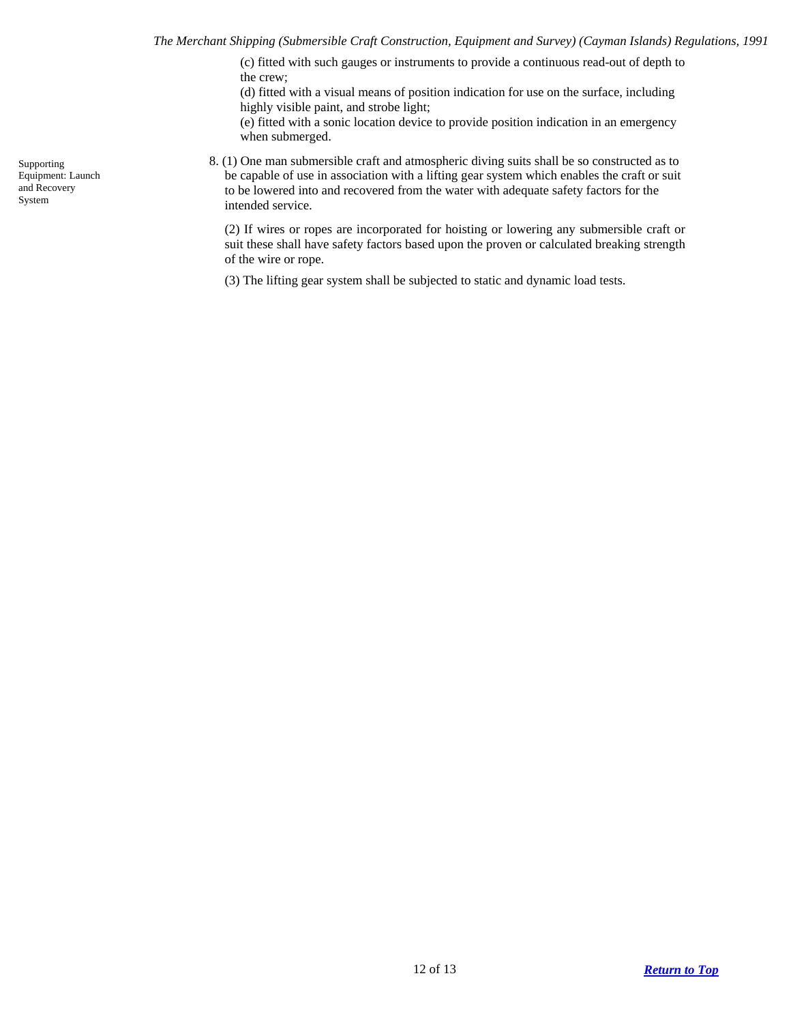(c) fitted with such gauges or instruments to provide a continuous read-out of depth to the crew;

(d) fitted with a visual means of position indication for use on the surface, including highly visible paint, and strobe light;

(e) fitted with a sonic location device to provide position indication in an emergency when submerged.

8. (1) One man submersible craft and atmospheric diving suits shall be so constructed as to be capable of use in association with a lifting gear system which enables the craft or suit to be lowered into and recovered from the water with adequate safety factors for the intended service.

(2) If wires or ropes are incorporated for hoisting or lowering any submersible craft or suit these shall have safety factors based upon the proven or calculated breaking strength of the wire or rope.

(3) The lifting gear system shall be subjected to static and dynamic load tests.

<span id="page-11-0"></span>Supporting Equipment: Launch and Recovery System